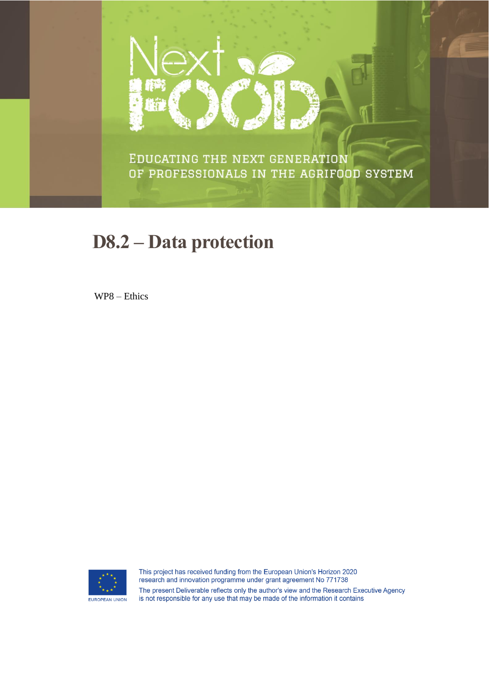

EDUCATING THE NEXT GENERATION OF PROFESSIONALS IN THE AGRIFOOD SYSTEM

# **D8.2 - Data protection**

WP8 - Ethics



This project has received funding from the European Union's Horizon 2020 research and innovation programme under grant agreement No 771738 The present Deliverable reflects only the author's view and the Research Executive Agency is not responsible for any use that may be made of the information it contains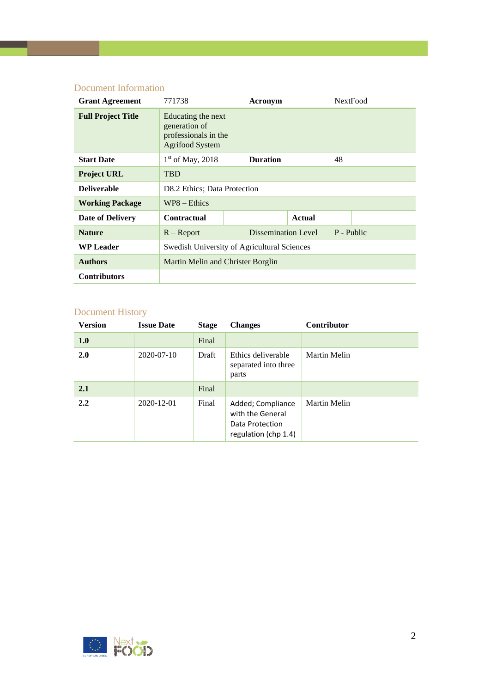#### Document Information

| <b>Grant Agreement</b>    | 771738                                                                                |                 | Acronym             |               | <b>NextFood</b> |  |  |
|---------------------------|---------------------------------------------------------------------------------------|-----------------|---------------------|---------------|-----------------|--|--|
| <b>Full Project Title</b> | Educating the next<br>generation of<br>professionals in the<br><b>Agrifood System</b> |                 |                     |               |                 |  |  |
| <b>Start Date</b>         | $1st$ of May, 2018                                                                    | <b>Duration</b> |                     | 48            |                 |  |  |
| <b>Project URL</b>        | <b>TBD</b>                                                                            |                 |                     |               |                 |  |  |
| <b>Deliverable</b>        | D8.2 Ethics; Data Protection                                                          |                 |                     |               |                 |  |  |
| <b>Working Package</b>    | $WP8 - Ethics$                                                                        |                 |                     |               |                 |  |  |
| <b>Date of Delivery</b>   | <b>Contractual</b>                                                                    |                 |                     | <b>Actual</b> |                 |  |  |
| <b>Nature</b>             | $R - Report$                                                                          |                 | Dissemination Level |               | P - Public      |  |  |
| <b>WP Leader</b>          | Swedish University of Agricultural Sciences                                           |                 |                     |               |                 |  |  |
| <b>Authors</b>            | Martin Melin and Christer Borglin                                                     |                 |                     |               |                 |  |  |
| <b>Contributors</b>       |                                                                                       |                 |                     |               |                 |  |  |

## Document History

| <b>Version</b> | <b>Issue Date</b> | <b>Stage</b> | <b>Changes</b>                                                                   | <b>Contributor</b> |
|----------------|-------------------|--------------|----------------------------------------------------------------------------------|--------------------|
| 1.0            |                   | Final        |                                                                                  |                    |
| 2.0            | 2020-07-10        | Draft        | Ethics deliverable<br>separated into three<br>parts                              | Martin Melin       |
| 2.1            |                   | Final        |                                                                                  |                    |
| 2.2            | 2020-12-01        | Final        | Added; Compliance<br>with the General<br>Data Protection<br>regulation (chp 1.4) | Martin Melin       |

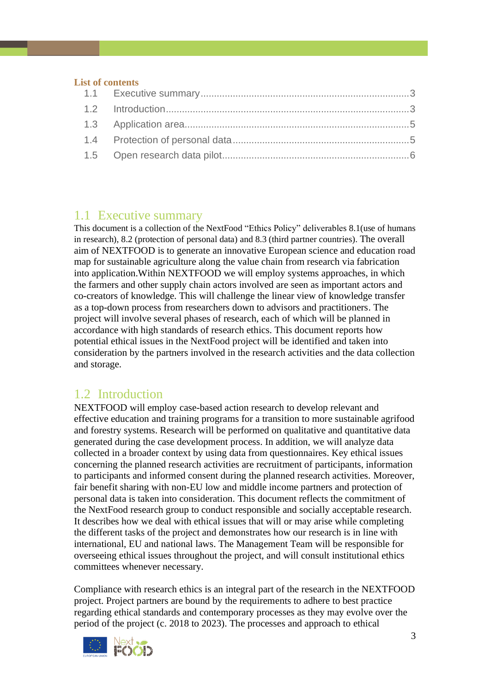#### **List of contents**

#### <span id="page-2-0"></span>1.1 Executive summary

This document is a collection of the NextFood "Ethics Policy" deliverables 8.1(use of humans in research), 8.2 (protection of personal data) and 8.3 (third partner countries). The overall aim of NEXTFOOD is to generate an innovative European science and education road map for sustainable agriculture along the value chain from research via fabrication into application.Within NEXTFOOD we will employ systems approaches, in which the farmers and other supply chain actors involved are seen as important actors and co-creators of knowledge. This will challenge the linear view of knowledge transfer as a top-down process from researchers down to advisors and practitioners. The project will involve several phases of research, each of which will be planned in accordance with high standards of research ethics. This document reports how potential ethical issues in the NextFood project will be identified and taken into consideration by the partners involved in the research activities and the data collection and storage.

## <span id="page-2-1"></span>1.2 Introduction

NEXTFOOD will employ case-based action research to develop relevant and effective education and training programs for a transition to more sustainable agrifood and forestry systems. Research will be performed on qualitative and quantitative data generated during the case development process. In addition, we will analyze data collected in a broader context by using data from questionnaires. Key ethical issues concerning the planned research activities are recruitment of participants, information to participants and informed consent during the planned research activities. Moreover, fair benefit sharing with non-EU low and middle income partners and protection of personal data is taken into consideration. This document reflects the commitment of the NextFood research group to conduct responsible and socially acceptable research. It describes how we deal with ethical issues that will or may arise while completing the different tasks of the project and demonstrates how our research is in line with international, EU and national laws. The Management Team will be responsible for overseeing ethical issues throughout the project, and will consult institutional ethics committees whenever necessary.

Compliance with research ethics is an integral part of the research in the NEXTFOOD project. Project partners are bound by the requirements to adhere to best practice regarding ethical standards and contemporary processes as they may evolve over the period of the project (c. 2018 to 2023). The processes and approach to ethical

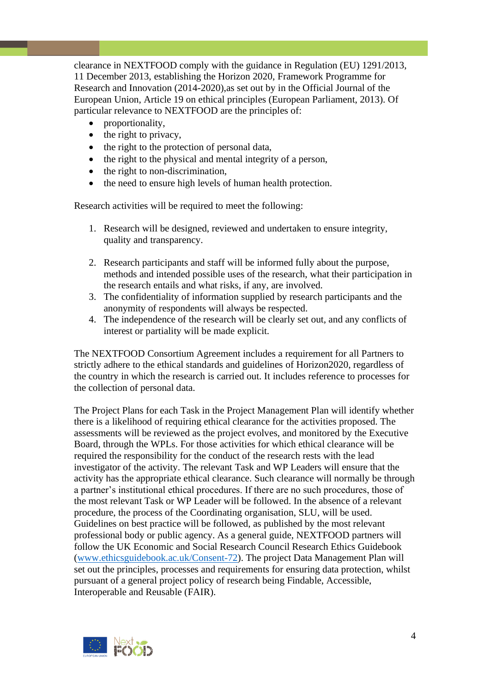clearance in NEXTFOOD comply with the guidance in Regulation (EU) 1291/2013, 11 December 2013, establishing the Horizon 2020, Framework Programme for Research and Innovation (2014-2020),as set out by in the Official Journal of the European Union, Article 19 on ethical principles (European Parliament, 2013). Of particular relevance to NEXTFOOD are the principles of:

- proportionality,
- the right to privacy,
- the right to the protection of personal data,
- the right to the physical and mental integrity of a person,
- the right to non-discrimination,
- the need to ensure high levels of human health protection.

Research activities will be required to meet the following:

- 1. Research will be designed, reviewed and undertaken to ensure integrity, quality and transparency.
- 2. Research participants and staff will be informed fully about the purpose, methods and intended possible uses of the research, what their participation in the research entails and what risks, if any, are involved.
- 3. The confidentiality of information supplied by research participants and the anonymity of respondents will always be respected.
- 4. The independence of the research will be clearly set out, and any conflicts of interest or partiality will be made explicit.

The NEXTFOOD Consortium Agreement includes a requirement for all Partners to strictly adhere to the ethical standards and guidelines of Horizon2020, regardless of the country in which the research is carried out. It includes reference to processes for the collection of personal data.

The Project Plans for each Task in the Project Management Plan will identify whether there is a likelihood of requiring ethical clearance for the activities proposed. The assessments will be reviewed as the project evolves, and monitored by the Executive Board, through the WPLs. For those activities for which ethical clearance will be required the responsibility for the conduct of the research rests with the lead investigator of the activity. The relevant Task and WP Leaders will ensure that the activity has the appropriate ethical clearance. Such clearance will normally be through a partner's institutional ethical procedures. If there are no such procedures, those of the most relevant Task or WP Leader will be followed. In the absence of a relevant procedure, the process of the Coordinating organisation, SLU, will be used. Guidelines on best practice will be followed, as published by the most relevant professional body or public agency. As a general guide, NEXTFOOD partners will follow the UK Economic and Social Research Council Research Ethics Guidebook [\(www.ethicsguidebook.ac.uk/Consent-72\)](http://www.ethicsguidebook.ac.uk/Consent-72). The project Data Management Plan will set out the principles, processes and requirements for ensuring data protection, whilst pursuant of a general project policy of research being Findable, Accessible, Interoperable and Reusable (FAIR).

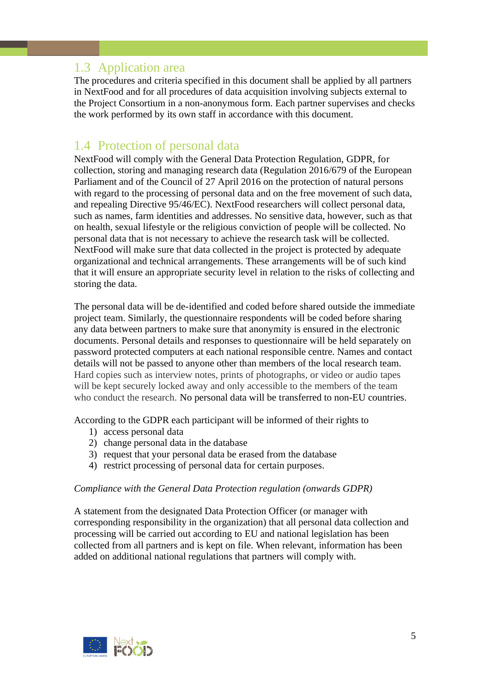## <span id="page-4-0"></span>1.3 Application area

The procedures and criteria specified in this document shall be applied by all partners in NextFood and for all procedures of data acquisition involving subjects external to the Project Consortium in a non-anonymous form. Each partner supervises and checks the work performed by its own staff in accordance with this document.

#### <span id="page-4-1"></span>1.4 Protection of personal data

NextFood will comply with the General Data Protection Regulation, GDPR, for collection, storing and managing research data (Regulation 2016/679 of the European Parliament and of the Council of 27 April 2016 on the protection of natural persons with regard to the processing of personal data and on the free movement of such data, and repealing Directive 95/46/EC). NextFood researchers will collect personal data, such as names, farm identities and addresses. No sensitive data, however, such as that on health, sexual lifestyle or the religious conviction of people will be collected. No personal data that is not necessary to achieve the research task will be collected. NextFood will make sure that data collected in the project is protected by adequate organizational and technical arrangements. These arrangements will be of such kind that it will ensure an appropriate security level in relation to the risks of collecting and storing the data.

The personal data will be de-identified and coded before shared outside the immediate project team. Similarly, the questionnaire respondents will be coded before sharing any data between partners to make sure that anonymity is ensured in the electronic documents. Personal details and responses to questionnaire will be held separately on password protected computers at each national responsible centre. Names and contact details will not be passed to anyone other than members of the local research team. Hard copies such as interview notes, prints of photographs, or video or audio tapes will be kept securely locked away and only accessible to the members of the team who conduct the research. No personal data will be transferred to non-EU countries.

According to the GDPR each participant will be informed of their rights to

- 1) access personal data
- 2) change personal data in the database
- 3) request that your personal data be erased from the database
- 4) restrict processing of personal data for certain purposes.

#### *Compliance with the General Data Protection regulation (onwards GDPR)*

A statement from the designated Data Protection Officer (or manager with corresponding responsibility in the organization) that all personal data collection and processing will be carried out according to EU and national legislation has been collected from all partners and is kept on file. When relevant, information has been added on additional national regulations that partners will comply with.